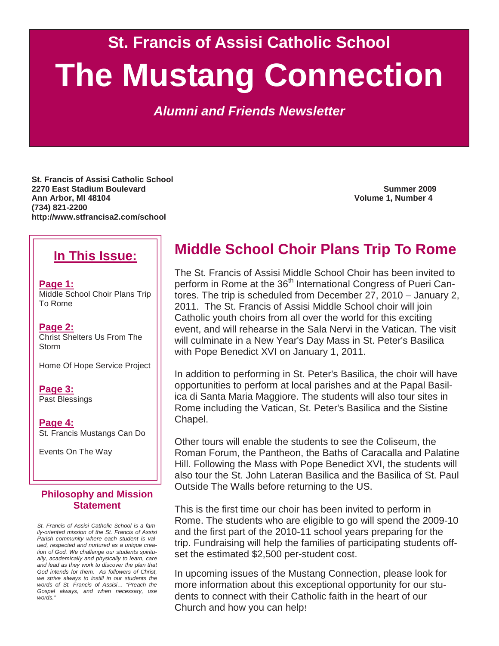**St. Francis of Assisi Catholic School** 

# **The Mustang Connection**

*Alumni and Friends Newsletter* 

**St. Francis of Assisi Catholic School 2270 East Stadium Boulevard Summer 2009 Ann Arbor, MI 48104 Volume 1, Number 4 (734) 821-2200 http://www.stfrancisa2.com/school** 

## **In This Issue:**

**Page 1:** Middle School Choir Plans Trip To Rome

**Page 2:** Christ Shelters Us From The Storm

Home Of Hope Service Project

**Page 3:** Past Blessings

**Page 4:** St. Francis Mustangs Can Do

Events On The Way

#### **Philosophy and Mission Statement**

*St. Francis of Assisi Catholic School is a family-oriented mission of the St. Francis of Assisi Parish community where each student is valued, respected and nurtured as a unique creation of God. We challenge our students spiritually, academically and physically to learn, care and lead as they work to discover the plan that God intends for them. As followers of Christ, we strive always to instill in our students the words of St. Francis of Assisi… "Preach the Gospel always, and when necessary, use words."* 

# **Middle School Choir Plans Trip To Rome**

The St. Francis of Assisi Middle School Choir has been invited to perform in Rome at the 36<sup>th</sup> International Congress of Pueri Cantores. The trip is scheduled from December 27, 2010 – January 2, 2011. The St. Francis of Assisi Middle School choir will join Catholic youth choirs from all over the world for this exciting event, and will rehearse in the Sala Nervi in the Vatican. The visit will culminate in a New Year's Day Mass in St. Peter's Basilica with Pope Benedict XVI on January 1, 2011.

In addition to performing in St. Peter's Basilica, the choir will have opportunities to perform at local parishes and at the Papal Basilica di Santa Maria Maggiore. The students will also tour sites in Rome including the Vatican, St. Peter's Basilica and the Sistine Chapel.

Other tours will enable the students to see the Coliseum, the Roman Forum, the Pantheon, the Baths of Caracalla and Palatine Hill. Following the Mass with Pope Benedict XVI, the students will also tour the St. John Lateran Basilica and the Basilica of St. Paul Outside The Walls before returning to the US.

This is the first time our choir has been invited to perform in Rome. The students who are eligible to go will spend the 2009-10 and the first part of the 2010-11 school years preparing for the trip. Fundraising will help the families of participating students offset the estimated \$2,500 per-student cost.

In upcoming issues of the Mustang Connection, please look for more information about this exceptional opportunity for our students to connect with their Catholic faith in the heart of our Church and how you can help!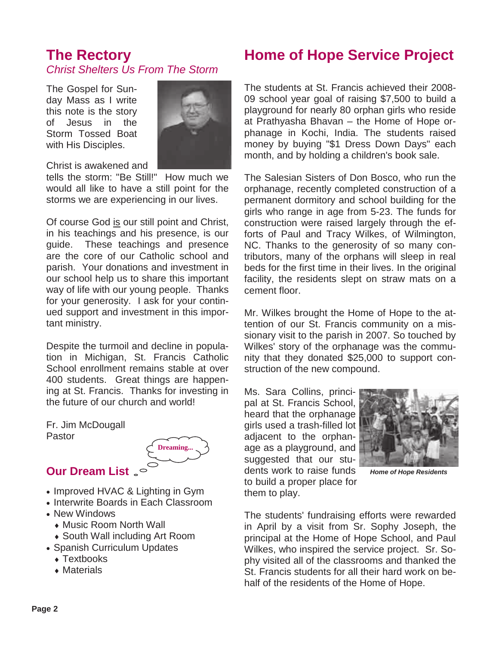## **The Rectory**  *Christ Shelters Us From The Storm*

The Gospel for Sunday Mass as I write this note is the story of Jesus in the Storm Tossed Boat with His Disciples.



Christ is awakened and

tells the storm: "Be Still!" How much we would all like to have a still point for the storms we are experiencing in our lives.

Of course God is our still point and Christ, in his teachings and his presence, is our guide. These teachings and presence are the core of our Catholic school and parish. Your donations and investment in our school help us to share this important way of life with our young people. Thanks for your generosity. I ask for your continued support and investment in this important ministry.

Despite the turmoil and decline in population in Michigan, St. Francis Catholic School enrollment remains stable at over 400 students. Great things are happening at St. Francis. Thanks for investing in the future of our church and world!

Fr. Jim McDougall Pastor



- **Our Dream List**
- Improved HVAC & Lighting in Gym
- Interwrite Boards in Each Classroom
- New Windows
	- ♦ Music Room North Wall
- ♦ South Wall including Art Room
- Spanish Curriculum Updates
	- Textbooks
	- ♦ Materials

# **Home of Hope Service Project**

The students at St. Francis achieved their 2008- 09 school year goal of raising \$7,500 to build a playground for nearly 80 orphan girls who reside at Prathyasha Bhavan – the Home of Hope orphanage in Kochi, India. The students raised money by buying "\$1 Dress Down Days" each month, and by holding a children's book sale.

The Salesian Sisters of Don Bosco, who run the orphanage, recently completed construction of a permanent dormitory and school building for the girls who range in age from 5-23. The funds for construction were raised largely through the efforts of Paul and Tracy Wilkes, of Wilmington, NC. Thanks to the generosity of so many contributors, many of the orphans will sleep in real beds for the first time in their lives. In the original facility, the residents slept on straw mats on a cement floor.

Mr. Wilkes brought the Home of Hope to the attention of our St. Francis community on a missionary visit to the parish in 2007. So touched by Wilkes' story of the orphanage was the community that they donated \$25,000 to support construction of the new compound.

Ms. Sara Collins, principal at St. Francis School, heard that the orphanage girls used a trash-filled lot adjacent to the orphanage as a playground, and suggested that our students work to raise funds to build a proper place for them to play.



*Home of Hope Residents* 

The students' fundraising efforts were rewarded in April by a visit from Sr. Sophy Joseph, the principal at the Home of Hope School, and Paul Wilkes, who inspired the service project. Sr. Sophy visited all of the classrooms and thanked the St. Francis students for all their hard work on behalf of the residents of the Home of Hope.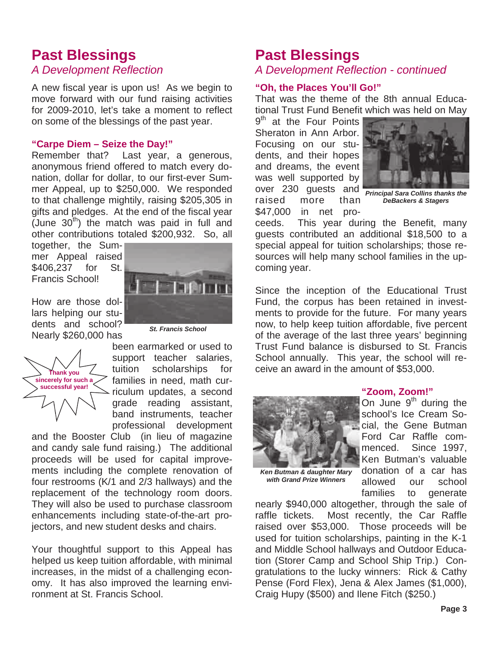# **Past Blessings**

## *A Development Reflection*

A new fiscal year is upon us! As we begin to move forward with our fund raising activities for 2009-2010, let's take a moment to reflect on some of the blessings of the past year.

#### **"Carpe Diem – Seize the Day!"**

Remember that? Last year, a generous, anonymous friend offered to match every donation, dollar for dollar, to our first-ever Summer Appeal, up to \$250,000. We responded to that challenge mightily, raising \$205,305 in gifts and pledges. At the end of the fiscal year (June  $30<sup>th</sup>$ ) the match was paid in full and other contributions totaled \$200,932. So, all

together, the Summer Appeal raised \$406,237 for St. Francis School!

How are those dollars helping our students and school? Nearly \$260,000 has

*St. Francis School* 



been earmarked or used to support teacher salaries, tuition scholarships for families in need, math curriculum updates, a second grade reading assistant, band instruments, teacher professional development

and the Booster Club (in lieu of magazine and candy sale fund raising.) The additional proceeds will be used for capital improvements including the complete renovation of four restrooms (K/1 and 2/3 hallways) and the replacement of the technology room doors. They will also be used to purchase classroom enhancements including state-of-the-art projectors, and new student desks and chairs.

Your thoughtful support to this Appeal has helped us keep tuition affordable, with minimal increases, in the midst of a challenging economy. It has also improved the learning environment at St. Francis School.

## **Past Blessings**

## *A Development Reflection - continued*

#### **"Oh, the Places You'll Go!"**

That was the theme of the 8th annual Educational Trust Fund Benefit which was held on May

9<sup>th</sup> at the Four Points Sheraton in Ann Arbor. Focusing on our students, and their hopes and dreams, the event was well supported by over 230 guests and raised more than *Principal Sara Collins thanks the*  \$47,000 in net pro-



*DeBackers & Stagers* 

ceeds. This year during the Benefit, many guests contributed an additional \$18,500 to a special appeal for tuition scholarships; those resources will help many school families in the upcoming year.

Since the inception of the Educational Trust Fund, the corpus has been retained in investments to provide for the future. For many years now, to help keep tuition affordable, five percent of the average of the last three years' beginning Trust Fund balance is disbursed to St. Francis School annually. This year, the school will receive an award in the amount of \$53,000.



*Ken Butman & daughter Mary with Grand Prize Winners* 

#### **"Zoom, Zoom!"**

On June  $9<sup>th</sup>$  during the school's Ice Cream Social, the Gene Butman Ford Car Raffle commenced. Since 1997, Ken Butman's valuable donation of a car has allowed our school families to generate

nearly \$940,000 altogether, through the sale of raffle tickets. Most recently, the Car Raffle raised over \$53,000. Those proceeds will be used for tuition scholarships, painting in the K-1 and Middle School hallways and Outdoor Education (Storer Camp and School Ship Trip.) Congratulations to the lucky winners: Rick & Cathy Pense (Ford Flex), Jena & Alex James (\$1,000), Craig Hupy (\$500) and Ilene Fitch (\$250.)